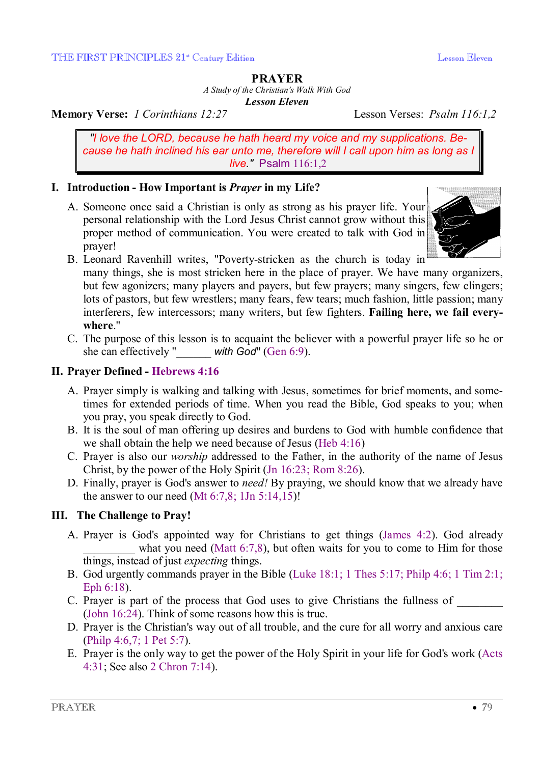#### **PRAYER**

*A Study of the Christian's Walk With God* 

*Lesson Eleven* 

**Memory Verse:** *1 Corinthians 12:27* Lesson Verses: *Psalm 116:1,2*

*"I love the LORD, because he hath heard my voice and my supplications. Because he hath inclined his ear unto me, therefore will I call upon him as long as I live."* Psalm 116:1,2

## **I. Introduction - How Important is** *Prayer* **in my Life?**

A. Someone once said a Christian is only as strong as his prayer life. Your personal relationship with the Lord Jesus Christ cannot grow without this proper method of communication. You were created to talk with God in prayer!



B. Leonard Ravenhill writes, "Poverty-stricken as the church is today in

many things, she is most stricken here in the place of prayer. We have many organizers, but few agonizers; many players and payers, but few prayers; many singers, few clingers; lots of pastors, but few wrestlers; many fears, few tears; much fashion, little passion; many interferers, few intercessors; many writers, but few fighters. **Failing here, we fail everywhere**."

C. The purpose of this lesson is to acquaint the believer with a powerful prayer life so he or she can effectively "\_\_\_\_\_\_ *with God*" (Gen 6:9).

## **II. Prayer Defined - Hebrews 4:16**

- A. Prayer simply is walking and talking with Jesus, sometimes for brief moments, and sometimes for extended periods of time. When you read the Bible, God speaks to you; when you pray, you speak directly to God.
- B. It is the soul of man offering up desires and burdens to God with humble confidence that we shall obtain the help we need because of Jesus (Heb 4:16)
- C. Prayer is also our *worship* addressed to the Father, in the authority of the name of Jesus Christ, by the power of the Holy Spirit (Jn 16:23; Rom 8:26).
- D. Finally, prayer is God's answer to *need!* By praying, we should know that we already have the answer to our need  $(Mt 6:7,8; 1Jn 5:14,15)!$

## **III. The Challenge to Pray!**

- A. Prayer is God's appointed way for Christians to get things (James 4:2). God already what you need (Matt  $6:7,8$ ), but often waits for you to come to Him for those things, instead of just *expecting* things.
- B. God urgently commands prayer in the Bible (Luke 18:1; 1 Thes 5:17; Philp 4:6; 1 Tim 2:1; Eph 6:18).
- C. Prayer is part of the process that God uses to give Christians the fullness of (John 16:24). Think of some reasons how this is true.
- D. Prayer is the Christian's way out of all trouble, and the cure for all worry and anxious care (Philp 4:6,7; 1 Pet 5:7).
- E. Prayer is the only way to get the power of the Holy Spirit in your life for God's work (Acts 4:31; See also 2 Chron 7:14).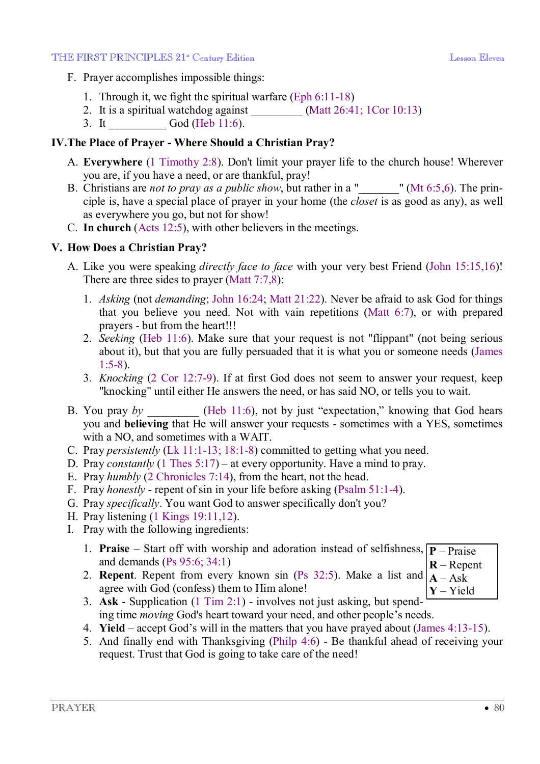#### THE FIRST PRINCIPLES 21<sup>\*</sup> Century Edition **Leap Account Contains Containers** Lesson Eleven

- F. Prayer accomplishes impossible things:
	- 1. Through it, we fight the spiritual warfare (Eph 6:11-18)
	- 2. It is a spiritual watchdog against  $(Matt\,26:41; 1Cor\,10:13)$
	- 3. It God (Heb 11:6).

# **IV.The Place of Prayer - Where Should a Christian Pray?**

- A. **Everywhere** (1 Timothy 2:8). Don't limit your prayer life to the church house! Wherever you are, if you have a need, or are thankful, pray!
- B. Christians are *not to pray as a public show*, but rather in a "**\_\_\_\_\_\_\_**" (Mt 6:5,6). The principle is, have a special place of prayer in your home (the *closet* is as good as any), as well as everywhere you go, but not for show!
- C. **In church** (Acts 12:5), with other believers in the meetings.

# **V. How Does a Christian Pray?**

- A. Like you were speaking *directly face to face* with your very best Friend (John 15:15,16)! There are three sides to prayer (Matt 7:7,8):
	- 1. *Asking* (not *demanding*; John 16:24; Matt 21:22). Never be afraid to ask God for things that you believe you need. Not with vain repetitions (Matt 6:7), or with prepared prayers - but from the heart!!!
	- 2. *Seeking* (Heb 11:6). Make sure that your request is not "flippant" (not being serious about it), but that you are fully persuaded that it is what you or someone needs (James 1:5-8).
	- 3. *Knocking* (2 Cor 12:7-9). If at first God does not seem to answer your request, keep "knocking" until either He answers the need, or has said NO, or tells you to wait.
- B. You pray *by* (Heb 11:6), not by just "expectation," knowing that God hears you and **believing** that He will answer your requests - sometimes with a YES, sometimes with a NO, and sometimes with a WAIT.
- C. Pray *persistently* (Lk 11:1-13; 18:1-8) committed to getting what you need.
- D. Pray *constantly* (1 Thes 5:17) at every opportunity. Have a mind to pray.
- E. Pray *humbly* (2 Chronicles 7:14), from the heart, not the head.
- F. Pray *honestly* repent of sin in your life before asking (Psalm 51:1-4).
- G. Pray *specifically*. You want God to answer specifically don't you?
- H. Pray listening (1 Kings 19:11,12).
- I. Pray with the following ingredients:
	- 1. **Praise** Start off with worship and adoration instead of selfishness,  $\boxed{P \text{Praise}}$ and demands (Ps 95:6; 34:1) **R** – Repent
	- 2. **Repent**. Repent from every known sin (Ps 32:5). Make a list and agree with God (confess) them to Him alone!  $A - Ask$ **Y** – Yield
	- 3. **Ask** Supplication (1 Tim 2:1) involves not just asking, but spending time *moving* God's heart toward your need, and other people's needs.
		- 4. **Yield** accept God's will in the matters that you have prayed about (James 4:13-15).
		- 5. And finally end with Thanksgiving (Philp 4:6) Be thankful ahead of receiving your request. Trust that God is going to take care of the need!